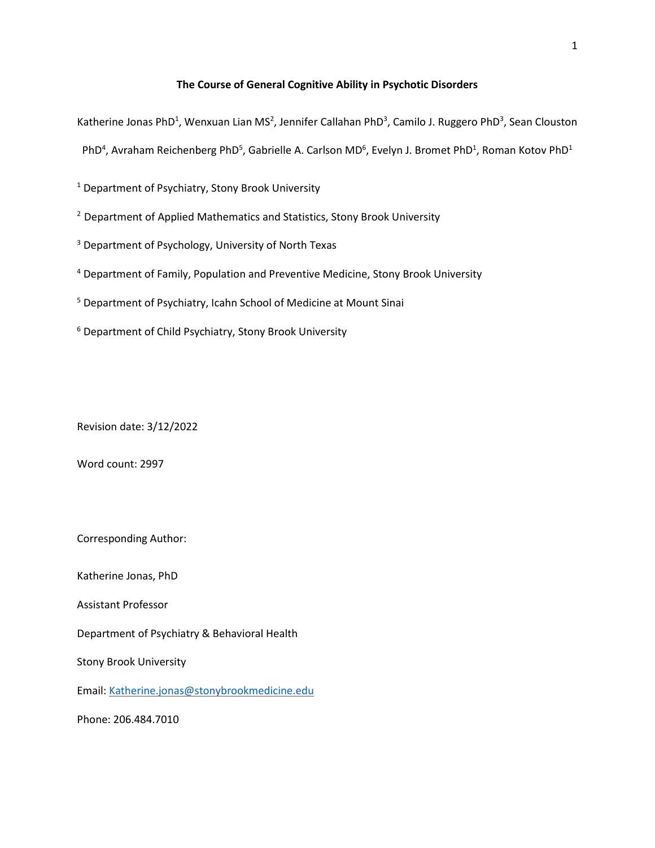## **The Course of General Cognitive Ability in Psychotic Disorders**

Katherine Jonas PhD<sup>1</sup>, Wenxuan Lian MS<sup>2</sup>, Jennifer Callahan PhD<sup>3</sup>, Camilo J. Ruggero PhD<sup>3</sup>, Sean Clouston

PhD<sup>4</sup>, Avraham Reichenberg PhD<sup>5</sup>, Gabrielle A. Carlson MD<sup>6</sup>, Evelyn J. Bromet PhD<sup>1</sup>, Roman Kotov PhD<sup>1</sup>

<sup>1</sup> Department of Psychiatry, Stony Brook University

<sup>2</sup> Department of Applied Mathematics and Statistics, Stony Brook University

<sup>3</sup> Department of Psychology, University of North Texas

<sup>4</sup> Department of Family, Population and Preventive Medicine, Stony Brook University

<sup>5</sup> Department of Psychiatry, Icahn School of Medicine at Mount Sinai

<sup>6</sup> Department of Child Psychiatry, Stony Brook University

Revision date: 3/12/2022

Word count: 2997

Corresponding Author:

Katherine Jonas, PhD

Assistant Professor

Department of Psychiatry & Behavioral Health

Stony Brook University

Email: [Katherine.jonas@stonybrookmedicine.edu](mailto:Katherine.jonas@stonybrookmedicine.edu)

Phone: 206.484.7010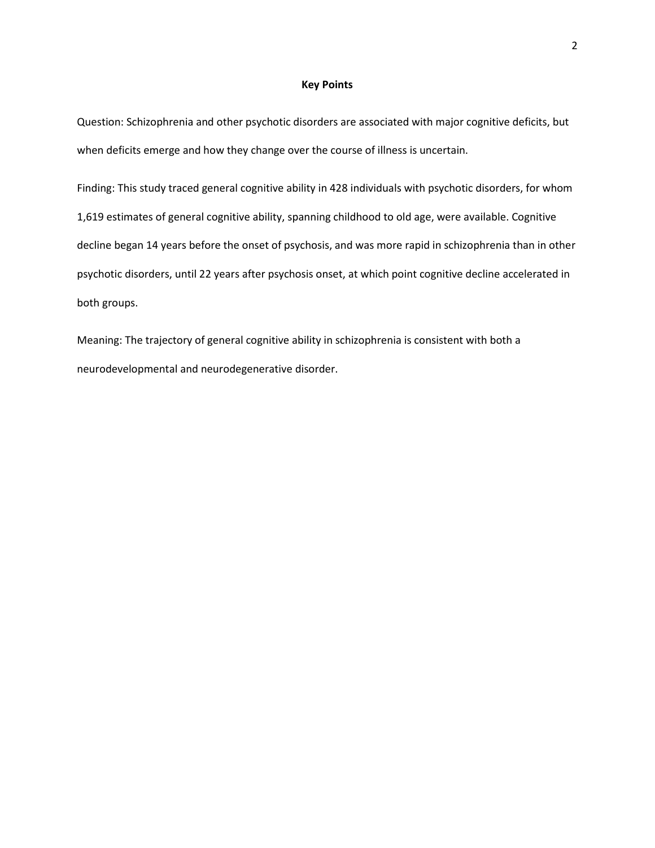#### **Key Points**

Question: Schizophrenia and other psychotic disorders are associated with major cognitive deficits, but when deficits emerge and how they change over the course of illness is uncertain.

Finding: This study traced general cognitive ability in 428 individuals with psychotic disorders, for whom 1,619 estimates of general cognitive ability, spanning childhood to old age, were available. Cognitive decline began 14 years before the onset of psychosis, and was more rapid in schizophrenia than in other psychotic disorders, until 22 years after psychosis onset, at which point cognitive decline accelerated in both groups.

Meaning: The trajectory of general cognitive ability in schizophrenia is consistent with both a neurodevelopmental and neurodegenerative disorder.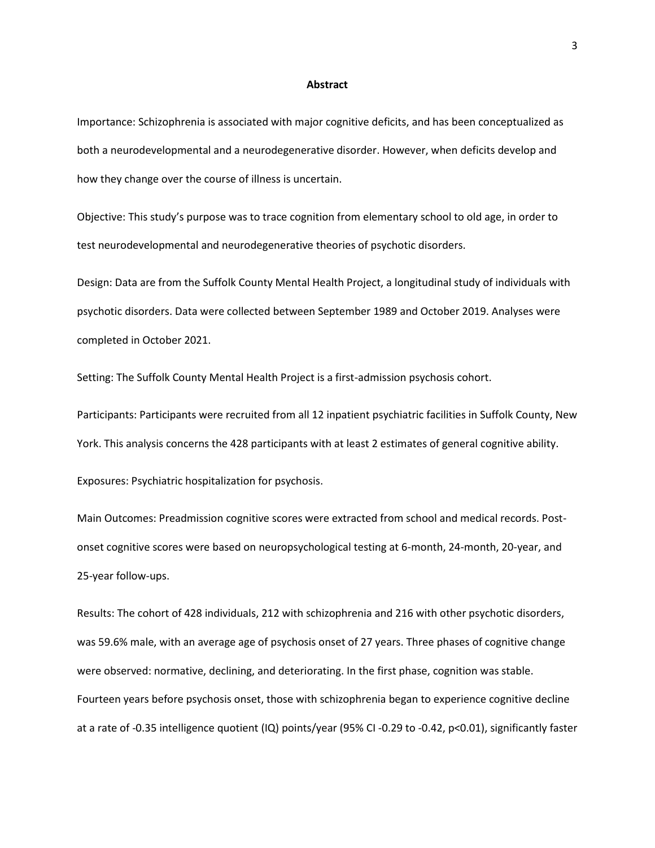#### **Abstract**

Importance: Schizophrenia is associated with major cognitive deficits, and has been conceptualized as both a neurodevelopmental and a neurodegenerative disorder. However, when deficits develop and how they change over the course of illness is uncertain.

Objective: This study's purpose was to trace cognition from elementary school to old age, in order to test neurodevelopmental and neurodegenerative theories of psychotic disorders.

Design: Data are from the Suffolk County Mental Health Project, a longitudinal study of individuals with psychotic disorders. Data were collected between September 1989 and October 2019. Analyses were completed in October 2021.

Setting: The Suffolk County Mental Health Project is a first-admission psychosis cohort.

Participants: Participants were recruited from all 12 inpatient psychiatric facilities in Suffolk County, New York. This analysis concerns the 428 participants with at least 2 estimates of general cognitive ability.

Exposures: Psychiatric hospitalization for psychosis.

Main Outcomes: Preadmission cognitive scores were extracted from school and medical records. Postonset cognitive scores were based on neuropsychological testing at 6-month, 24-month, 20-year, and 25-year follow-ups.

Results: The cohort of 428 individuals, 212 with schizophrenia and 216 with other psychotic disorders, was 59.6% male, with an average age of psychosis onset of 27 years. Three phases of cognitive change were observed: normative, declining, and deteriorating. In the first phase, cognition was stable. Fourteen years before psychosis onset, those with schizophrenia began to experience cognitive decline at a rate of -0.35 intelligence quotient (IQ) points/year (95% CI -0.29 to -0.42, p<0.01), significantly faster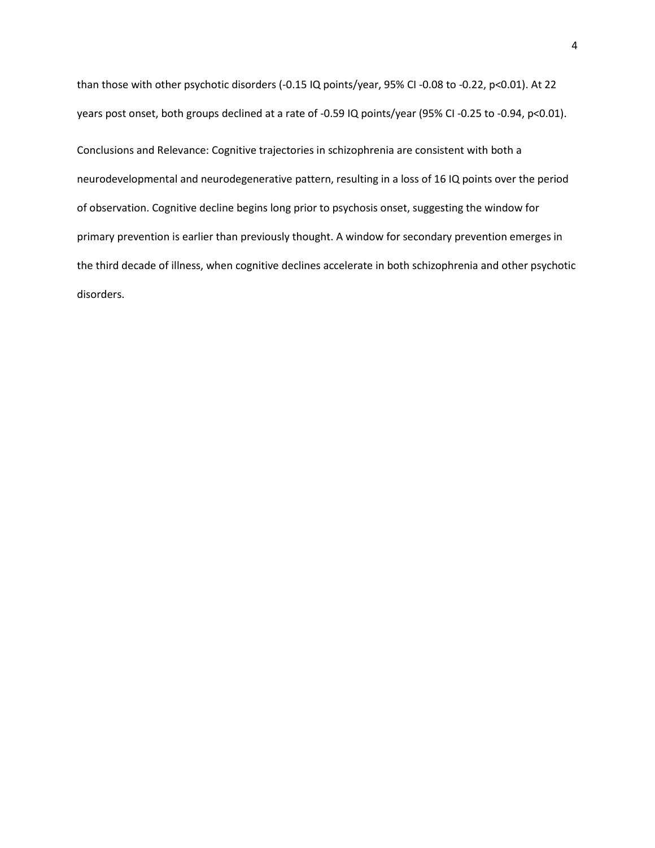than those with other psychotic disorders (-0.15 IQ points/year, 95% CI -0.08 to -0.22, p<0.01). At 22 years post onset, both groups declined at a rate of -0.59 IQ points/year (95% CI -0.25 to -0.94, p<0.01).

Conclusions and Relevance: Cognitive trajectories in schizophrenia are consistent with both a neurodevelopmental and neurodegenerative pattern, resulting in a loss of 16 IQ points over the period of observation. Cognitive decline begins long prior to psychosis onset, suggesting the window for primary prevention is earlier than previously thought. A window for secondary prevention emerges in the third decade of illness, when cognitive declines accelerate in both schizophrenia and other psychotic disorders.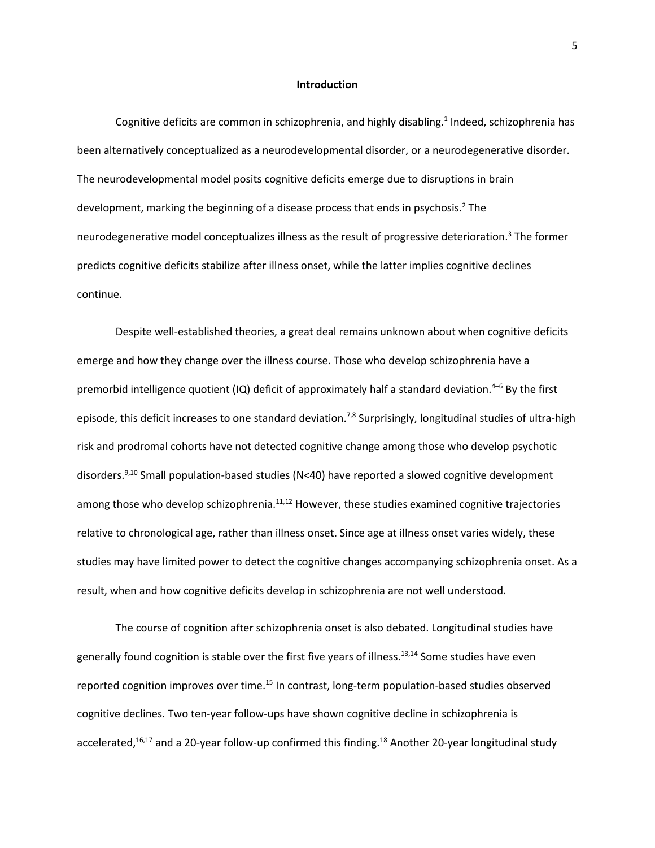#### **Introduction**

Cognitive deficits are common in schizophrenia, and highly disabling. 1 Indeed, schizophrenia has been alternatively conceptualized as a neurodevelopmental disorder, or a neurodegenerative disorder. The neurodevelopmental model posits cognitive deficits emerge due to disruptions in brain development, marking the beginning of a disease process that ends in psychosis. <sup>2</sup> The neurodegenerative model conceptualizes illness as the result of progressive deterioration. <sup>3</sup> The former predicts cognitive deficits stabilize after illness onset, while the latter implies cognitive declines continue.

Despite well-established theories, a great deal remains unknown about when cognitive deficits emerge and how they change over the illness course. Those who develop schizophrenia have a premorbid intelligence quotient (IQ) deficit of approximately half a standard deviation. <sup>4</sup>–<sup>6</sup> By the first episode, this deficit increases to one standard deviation.<sup>7,8</sup> Surprisingly, longitudinal studies of ultra-high risk and prodromal cohorts have not detected cognitive change among those who develop psychotic disorders. 9,10 Small population-based studies (N<40) have reported a slowed cognitive development among those who develop schizophrenia.<sup>11,12</sup> However, these studies examined cognitive trajectories relative to chronological age, rather than illness onset. Since age at illness onset varies widely, these studies may have limited power to detect the cognitive changes accompanying schizophrenia onset. As a result, when and how cognitive deficits develop in schizophrenia are not well understood.

The course of cognition after schizophrenia onset is also debated. Longitudinal studies have generally found cognition is stable over the first five years of illness.<sup>13,14</sup> Some studies have even reported cognition improves over time.<sup>15</sup> In contrast, long-term population-based studies observed cognitive declines. Two ten-year follow-ups have shown cognitive decline in schizophrenia is accelerated, <sup>16,17</sup> and a 20-year follow-up confirmed this finding.<sup>18</sup> Another 20-year longitudinal study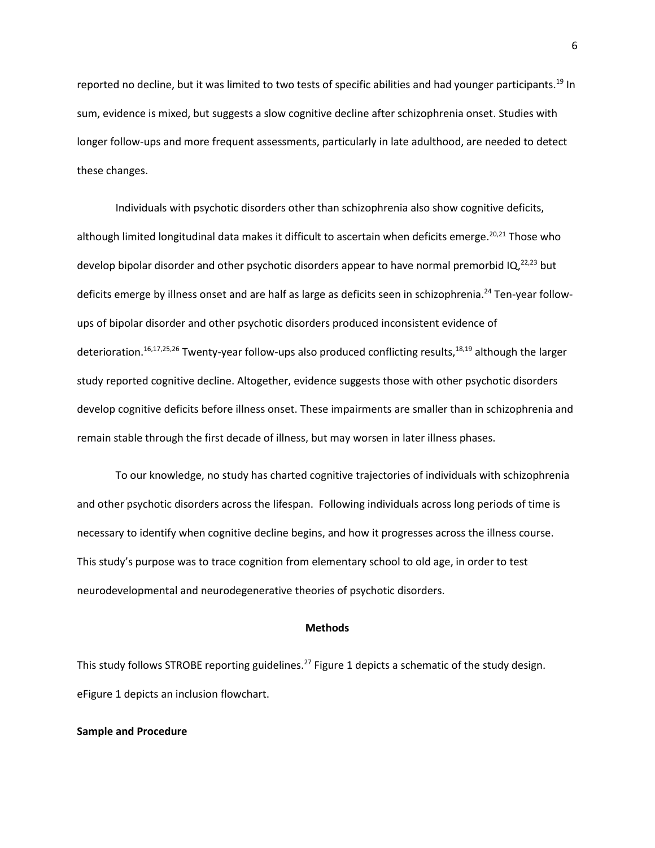reported no decline, but it was limited to two tests of specific abilities and had younger participants.<sup>19</sup> In sum, evidence is mixed, but suggests a slow cognitive decline after schizophrenia onset. Studies with longer follow-ups and more frequent assessments, particularly in late adulthood, are needed to detect these changes.

Individuals with psychotic disorders other than schizophrenia also show cognitive deficits, although limited longitudinal data makes it difficult to ascertain when deficits emerge.<sup>20,21</sup> Those who develop bipolar disorder and other psychotic disorders appear to have normal premorbid IQ,<sup>22,23</sup> but deficits emerge by illness onset and are half as large as deficits seen in schizophrenia.<sup>24</sup> Ten-year followups of bipolar disorder and other psychotic disorders produced inconsistent evidence of deterioration.<sup>16,17,25,26</sup> Twenty-year follow-ups also produced conflicting results,<sup>18,19</sup> although the larger study reported cognitive decline. Altogether, evidence suggests those with other psychotic disorders develop cognitive deficits before illness onset. These impairments are smaller than in schizophrenia and remain stable through the first decade of illness, but may worsen in later illness phases.

To our knowledge, no study has charted cognitive trajectories of individuals with schizophrenia and other psychotic disorders across the lifespan. Following individuals across long periods of time is necessary to identify when cognitive decline begins, and how it progresses across the illness course. This study's purpose was to trace cognition from elementary school to old age, in order to test neurodevelopmental and neurodegenerative theories of psychotic disorders.

#### **Methods**

This study follows STROBE reporting guidelines.<sup>27</sup> Figure 1 depicts a schematic of the study design. eFigure 1 depicts an inclusion flowchart.

## **Sample and Procedure**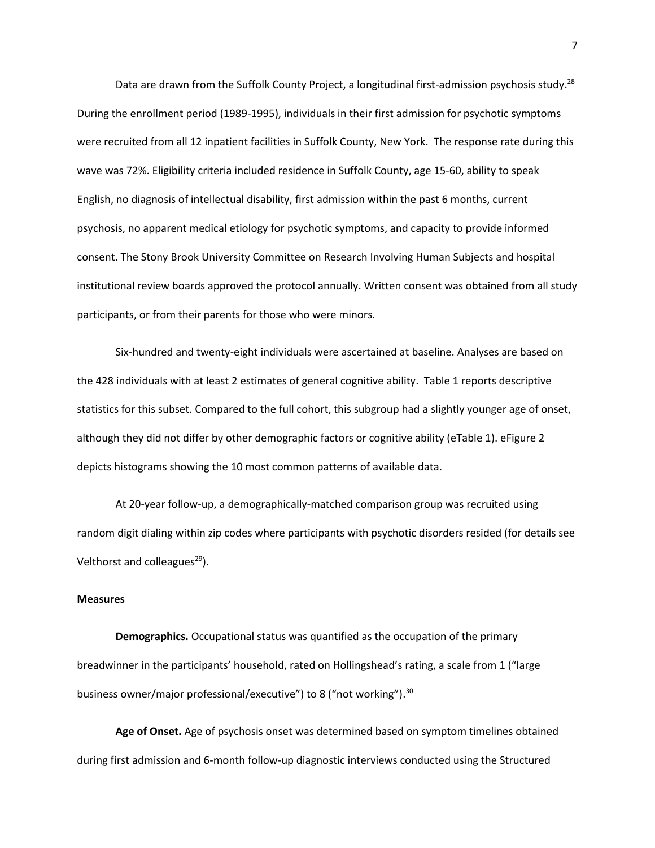Data are drawn from the Suffolk County Project, a longitudinal first-admission psychosis study.<sup>28</sup> During the enrollment period (1989-1995), individuals in their first admission for psychotic symptoms were recruited from all 12 inpatient facilities in Suffolk County, New York. The response rate during this wave was 72%. Eligibility criteria included residence in Suffolk County, age 15-60, ability to speak English, no diagnosis of intellectual disability, first admission within the past 6 months, current psychosis, no apparent medical etiology for psychotic symptoms, and capacity to provide informed consent. The Stony Brook University Committee on Research Involving Human Subjects and hospital institutional review boards approved the protocol annually. Written consent was obtained from all study participants, or from their parents for those who were minors.

Six-hundred and twenty-eight individuals were ascertained at baseline. Analyses are based on the 428 individuals with at least 2 estimates of general cognitive ability. Table 1 reports descriptive statistics for this subset. Compared to the full cohort, this subgroup had a slightly younger age of onset, although they did not differ by other demographic factors or cognitive ability (eTable 1). eFigure 2 depicts histograms showing the 10 most common patterns of available data.

At 20-year follow-up, a demographically-matched comparison group was recruited using random digit dialing within zip codes where participants with psychotic disorders resided (for details see Velthorst and colleagues $^{29}$ ).

#### **Measures**

**Demographics.** Occupational status was quantified as the occupation of the primary breadwinner in the participants' household, rated on Hollingshead's rating, a scale from 1 ("large business owner/major professional/executive") to 8 ("not working").<sup>30</sup>

**Age of Onset.** Age of psychosis onset was determined based on symptom timelines obtained during first admission and 6-month follow-up diagnostic interviews conducted using the Structured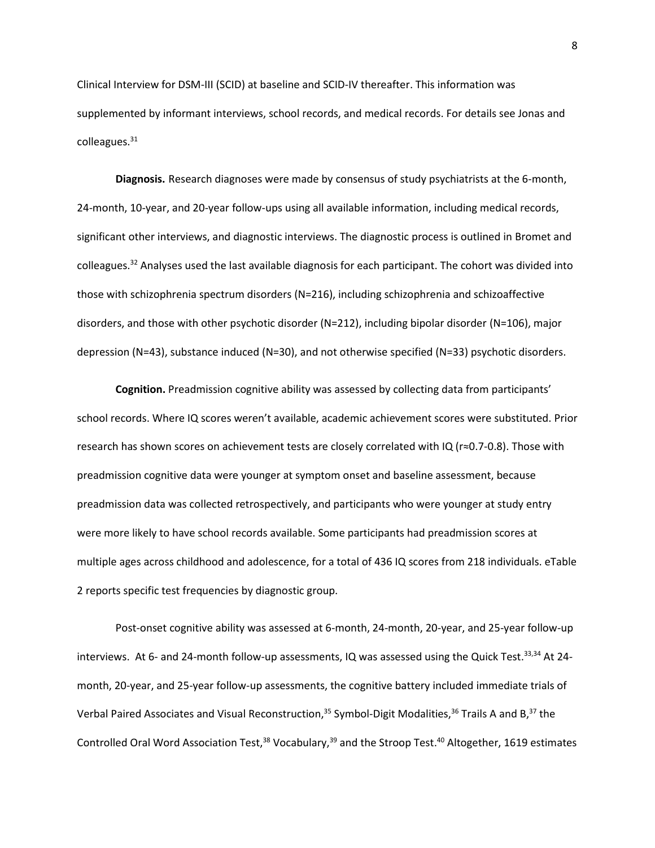Clinical Interview for DSM-III (SCID) at baseline and SCID-IV thereafter. This information was supplemented by informant interviews, school records, and medical records. For details see Jonas and colleagues.<sup>31</sup>

**Diagnosis.** Research diagnoses were made by consensus of study psychiatrists at the 6-month, 24-month, 10-year, and 20-year follow-ups using all available information, including medical records, significant other interviews, and diagnostic interviews. The diagnostic process is outlined in Bromet and colleagues.<sup>32</sup> Analyses used the last available diagnosis for each participant. The cohort was divided into those with schizophrenia spectrum disorders (N=216), including schizophrenia and schizoaffective disorders, and those with other psychotic disorder (N=212), including bipolar disorder (N=106), major depression (N=43), substance induced (N=30), and not otherwise specified (N=33) psychotic disorders.

**Cognition.** Preadmission cognitive ability was assessed by collecting data from participants' school records. Where IQ scores weren't available, academic achievement scores were substituted. Prior research has shown scores on achievement tests are closely correlated with IQ (r≈0.7-0.8). Those with preadmission cognitive data were younger at symptom onset and baseline assessment, because preadmission data was collected retrospectively, and participants who were younger at study entry were more likely to have school records available. Some participants had preadmission scores at multiple ages across childhood and adolescence, for a total of 436 IQ scores from 218 individuals. eTable 2 reports specific test frequencies by diagnostic group.

Post-onset cognitive ability was assessed at 6-month, 24-month, 20-year, and 25-year follow-up interviews. At 6- and 24-month follow-up assessments, IQ was assessed using the Quick Test.<sup>33,34</sup> At 24month, 20-year, and 25-year follow-up assessments, the cognitive battery included immediate trials of Verbal Paired Associates and Visual Reconstruction,<sup>35</sup> Symbol-Digit Modalities,<sup>36</sup> Trails A and B,<sup>37</sup> the Controlled Oral Word Association Test,<sup>38</sup> Vocabulary,<sup>39</sup> and the Stroop Test.<sup>40</sup> Altogether, 1619 estimates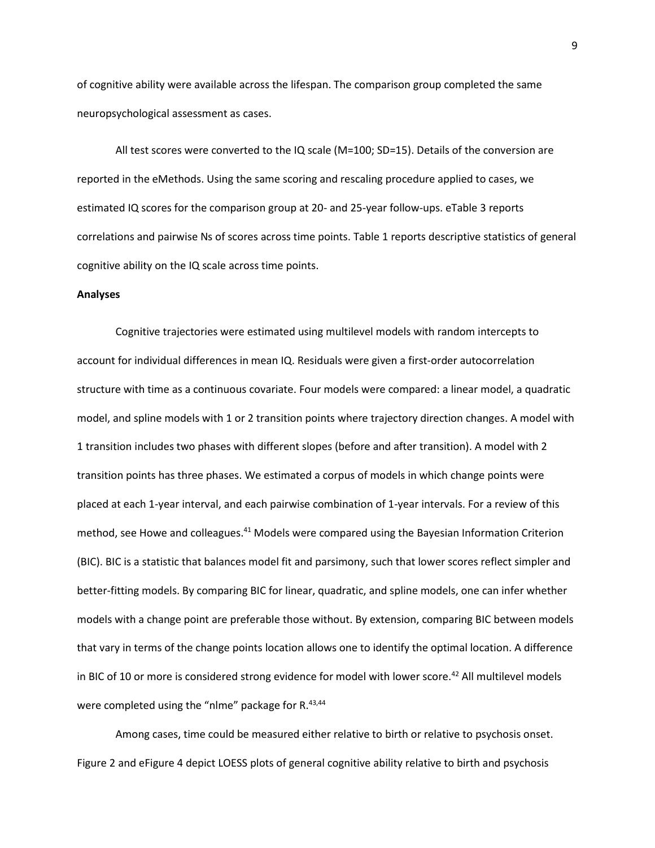of cognitive ability were available across the lifespan. The comparison group completed the same neuropsychological assessment as cases.

All test scores were converted to the IQ scale (M=100; SD=15). Details of the conversion are reported in the eMethods. Using the same scoring and rescaling procedure applied to cases, we estimated IQ scores for the comparison group at 20- and 25-year follow-ups. eTable 3 reports correlations and pairwise Ns of scores across time points. Table 1 reports descriptive statistics of general cognitive ability on the IQ scale across time points.

#### **Analyses**

Cognitive trajectories were estimated using multilevel models with random intercepts to account for individual differences in mean IQ. Residuals were given a first-order autocorrelation structure with time as a continuous covariate. Four models were compared: a linear model, a quadratic model, and spline models with 1 or 2 transition points where trajectory direction changes. A model with 1 transition includes two phases with different slopes (before and after transition). A model with 2 transition points has three phases. We estimated a corpus of models in which change points were placed at each 1-year interval, and each pairwise combination of 1-year intervals. For a review of this method, see Howe and colleagues.<sup>41</sup> Models were compared using the Bayesian Information Criterion (BIC). BIC is a statistic that balances model fit and parsimony, such that lower scores reflect simpler and better-fitting models. By comparing BIC for linear, quadratic, and spline models, one can infer whether models with a change point are preferable those without. By extension, comparing BIC between models that vary in terms of the change points location allows one to identify the optimal location. A difference in BIC of 10 or more is considered strong evidence for model with lower score.<sup>42</sup> All multilevel models were completed using the "nlme" package for R.<sup>43,44</sup>

Among cases, time could be measured either relative to birth or relative to psychosis onset. Figure 2 and eFigure 4 depict LOESS plots of general cognitive ability relative to birth and psychosis

9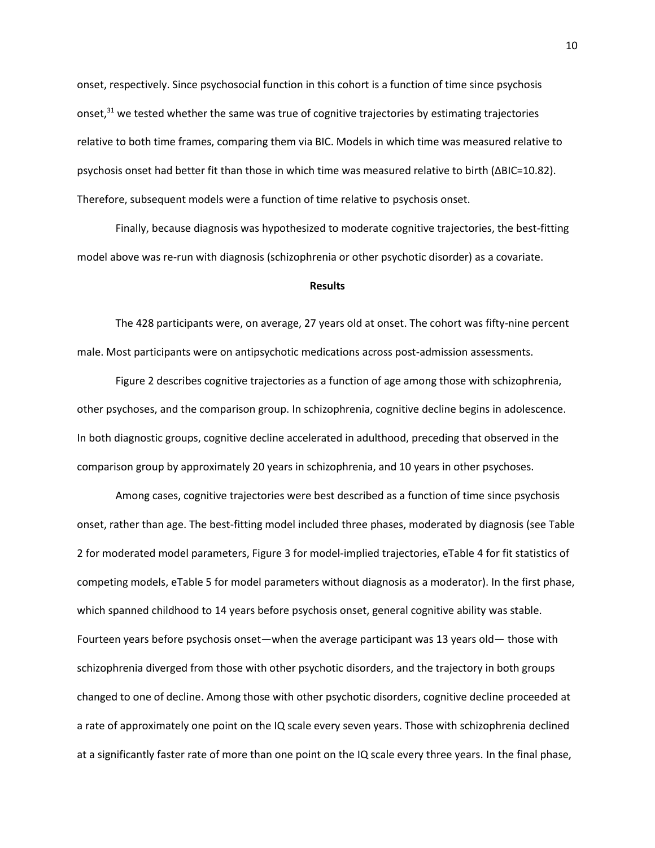onset, respectively. Since psychosocial function in this cohort is a function of time since psychosis onset,<sup>31</sup> we tested whether the same was true of cognitive trajectories by estimating trajectories relative to both time frames, comparing them via BIC. Models in which time was measured relative to psychosis onset had better fit than those in which time was measured relative to birth (∆BIC=10.82). Therefore, subsequent models were a function of time relative to psychosis onset.

Finally, because diagnosis was hypothesized to moderate cognitive trajectories, the best-fitting model above was re-run with diagnosis (schizophrenia or other psychotic disorder) as a covariate.

#### **Results**

The 428 participants were, on average, 27 years old at onset. The cohort was fifty-nine percent male. Most participants were on antipsychotic medications across post-admission assessments.

Figure 2 describes cognitive trajectories as a function of age among those with schizophrenia, other psychoses, and the comparison group. In schizophrenia, cognitive decline begins in adolescence. In both diagnostic groups, cognitive decline accelerated in adulthood, preceding that observed in the comparison group by approximately 20 years in schizophrenia, and 10 years in other psychoses.

Among cases, cognitive trajectories were best described as a function of time since psychosis onset, rather than age. The best-fitting model included three phases, moderated by diagnosis (see Table 2 for moderated model parameters, Figure 3 for model-implied trajectories, eTable 4 for fit statistics of competing models, eTable 5 for model parameters without diagnosis as a moderator). In the first phase, which spanned childhood to 14 years before psychosis onset, general cognitive ability was stable. Fourteen years before psychosis onset—when the average participant was 13 years old— those with schizophrenia diverged from those with other psychotic disorders, and the trajectory in both groups changed to one of decline. Among those with other psychotic disorders, cognitive decline proceeded at a rate of approximately one point on the IQ scale every seven years. Those with schizophrenia declined at a significantly faster rate of more than one point on the IQ scale every three years. In the final phase,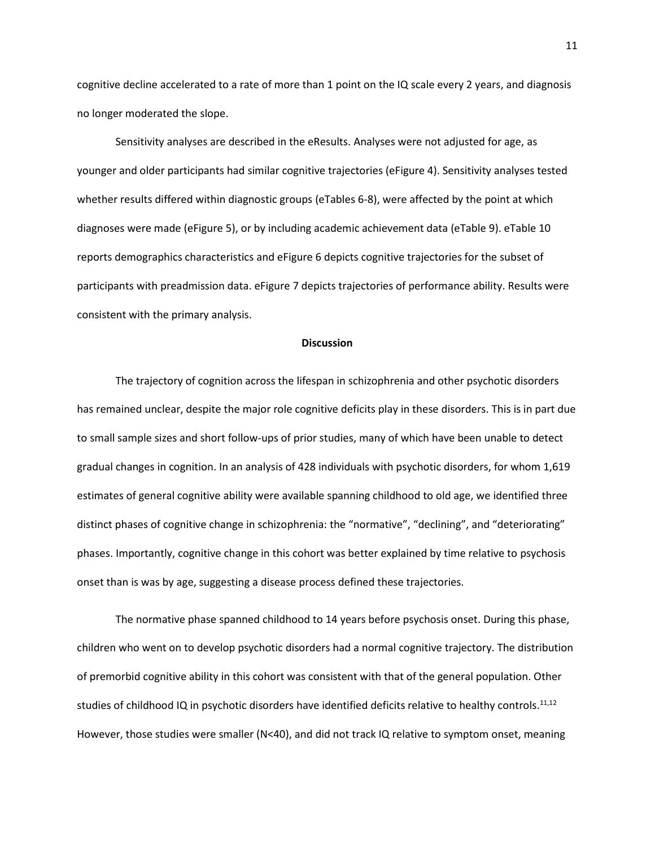cognitive decline accelerated to a rate of more than 1 point on the IQ scale every 2 years, and diagnosis no longer moderated the slope.

Sensitivity analyses are described in the eResults. Analyses were not adjusted for age, as younger and older participants had similar cognitive trajectories (eFigure 4). Sensitivity analyses tested whether results differed within diagnostic groups (eTables 6-8), were affected by the point at which diagnoses were made (eFigure 5), or by including academic achievement data (eTable 9). eTable 10 reports demographics characteristics and eFigure 6 depicts cognitive trajectories for the subset of participants with preadmission data. eFigure 7 depicts trajectories of performance ability. Results were consistent with the primary analysis.

#### **Discussion**

The trajectory of cognition across the lifespan in schizophrenia and other psychotic disorders has remained unclear, despite the major role cognitive deficits play in these disorders. This is in part due to small sample sizes and short follow-ups of prior studies, many of which have been unable to detect gradual changes in cognition. In an analysis of 428 individuals with psychotic disorders, for whom 1,619 estimates of general cognitive ability were available spanning childhood to old age, we identified three distinct phases of cognitive change in schizophrenia: the "normative", "declining", and "deteriorating" phases. Importantly, cognitive change in this cohort was better explained by time relative to psychosis onset than is was by age, suggesting a disease process defined these trajectories.

The normative phase spanned childhood to 14 years before psychosis onset. During this phase, children who went on to develop psychotic disorders had a normal cognitive trajectory. The distribution of premorbid cognitive ability in this cohort was consistent with that of the general population. Other studies of childhood IQ in psychotic disorders have identified deficits relative to healthy controls.<sup>11,12</sup> However, those studies were smaller (N<40), and did not track IQ relative to symptom onset, meaning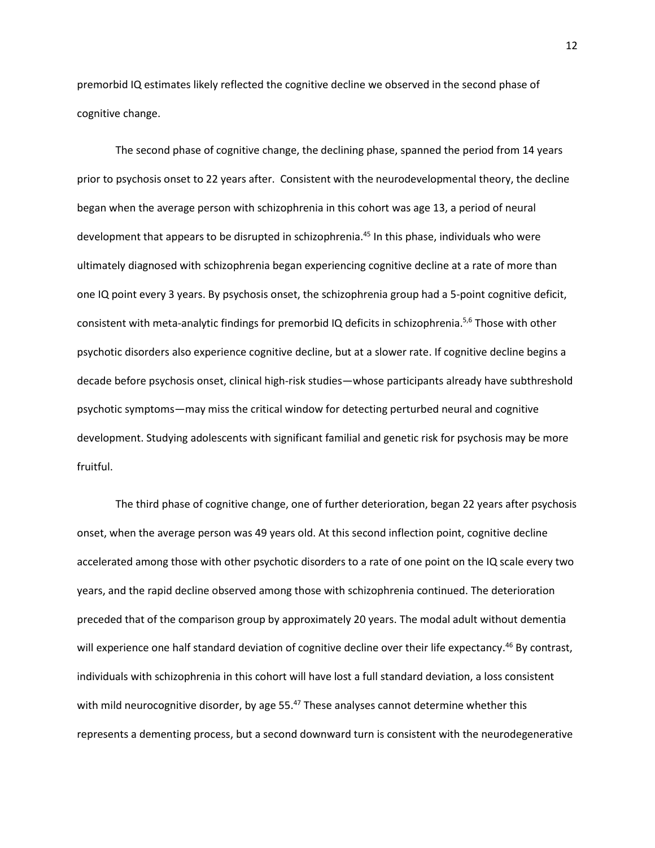premorbid IQ estimates likely reflected the cognitive decline we observed in the second phase of cognitive change.

The second phase of cognitive change, the declining phase, spanned the period from 14 years prior to psychosis onset to 22 years after. Consistent with the neurodevelopmental theory, the decline began when the average person with schizophrenia in this cohort was age 13, a period of neural development that appears to be disrupted in schizophrenia.<sup>45</sup> In this phase, individuals who were ultimately diagnosed with schizophrenia began experiencing cognitive decline at a rate of more than one IQ point every 3 years. By psychosis onset, the schizophrenia group had a 5-point cognitive deficit, consistent with meta-analytic findings for premorbid IQ deficits in schizophrenia.<sup>5,6</sup> Those with other psychotic disorders also experience cognitive decline, but at a slower rate. If cognitive decline begins a decade before psychosis onset, clinical high-risk studies—whose participants already have subthreshold psychotic symptoms—may miss the critical window for detecting perturbed neural and cognitive development. Studying adolescents with significant familial and genetic risk for psychosis may be more fruitful.

The third phase of cognitive change, one of further deterioration, began 22 years after psychosis onset, when the average person was 49 years old. At this second inflection point, cognitive decline accelerated among those with other psychotic disorders to a rate of one point on the IQ scale every two years, and the rapid decline observed among those with schizophrenia continued. The deterioration preceded that of the comparison group by approximately 20 years. The modal adult without dementia will experience one half standard deviation of cognitive decline over their life expectancy.<sup>46</sup> By contrast, individuals with schizophrenia in this cohort will have lost a full standard deviation, a loss consistent with mild neurocognitive disorder, by age 55.<sup>47</sup> These analyses cannot determine whether this represents a dementing process, but a second downward turn is consistent with the neurodegenerative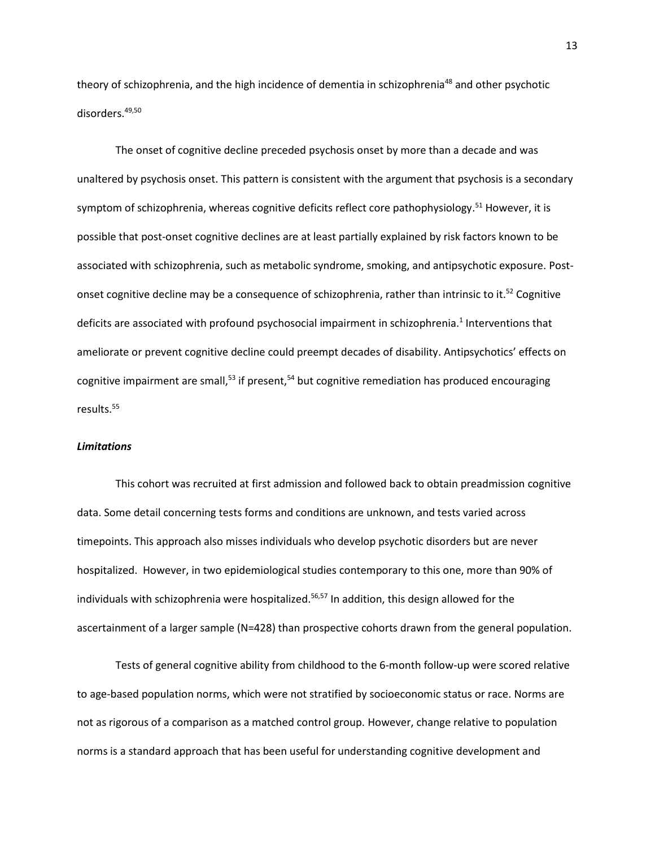theory of schizophrenia, and the high incidence of dementia in schizophrenia<sup>48</sup> and other psychotic disorders. 49,50

The onset of cognitive decline preceded psychosis onset by more than a decade and was unaltered by psychosis onset. This pattern is consistent with the argument that psychosis is a secondary symptom of schizophrenia, whereas cognitive deficits reflect core pathophysiology.<sup>51</sup> However, it is possible that post-onset cognitive declines are at least partially explained by risk factors known to be associated with schizophrenia, such as metabolic syndrome, smoking, and antipsychotic exposure. Postonset cognitive decline may be a consequence of schizophrenia, rather than intrinsic to it.<sup>52</sup> Cognitive deficits are associated with profound psychosocial impairment in schizophrenia.<sup>1</sup> Interventions that ameliorate or prevent cognitive decline could preempt decades of disability. Antipsychotics' effects on cognitive impairment are small,<sup>53</sup> if present,<sup>54</sup> but cognitive remediation has produced encouraging results. 55

#### *Limitations*

This cohort was recruited at first admission and followed back to obtain preadmission cognitive data. Some detail concerning tests forms and conditions are unknown, and tests varied across timepoints. This approach also misses individuals who develop psychotic disorders but are never hospitalized. However, in two epidemiological studies contemporary to this one, more than 90% of individuals with schizophrenia were hospitalized.<sup>56,57</sup> In addition, this design allowed for the ascertainment of a larger sample (N=428) than prospective cohorts drawn from the general population.

Tests of general cognitive ability from childhood to the 6-month follow-up were scored relative to age-based population norms, which were not stratified by socioeconomic status or race. Norms are not as rigorous of a comparison as a matched control group. However, change relative to population norms is a standard approach that has been useful for understanding cognitive development and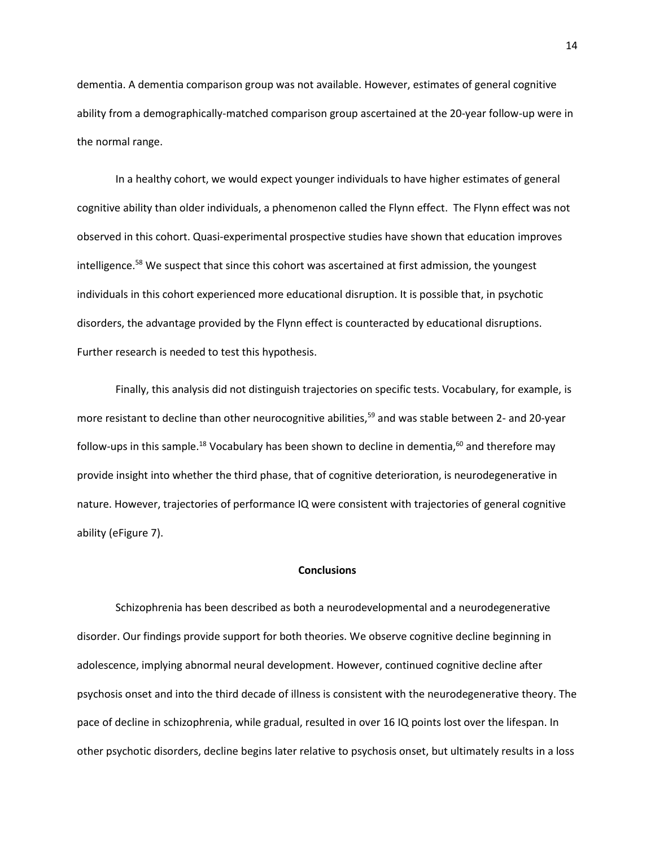dementia. A dementia comparison group was not available. However, estimates of general cognitive ability from a demographically-matched comparison group ascertained at the 20-year follow-up were in the normal range.

In a healthy cohort, we would expect younger individuals to have higher estimates of general cognitive ability than older individuals, a phenomenon called the Flynn effect. The Flynn effect was not observed in this cohort. Quasi-experimental prospective studies have shown that education improves intelligence.<sup>58</sup> We suspect that since this cohort was ascertained at first admission, the youngest individuals in this cohort experienced more educational disruption. It is possible that, in psychotic disorders, the advantage provided by the Flynn effect is counteracted by educational disruptions. Further research is needed to test this hypothesis.

Finally, this analysis did not distinguish trajectories on specific tests. Vocabulary, for example, is more resistant to decline than other neurocognitive abilities,<sup>59</sup> and was stable between 2- and 20-year follow-ups in this sample.<sup>18</sup> Vocabulary has been shown to decline in dementia,<sup>60</sup> and therefore may provide insight into whether the third phase, that of cognitive deterioration, is neurodegenerative in nature. However, trajectories of performance IQ were consistent with trajectories of general cognitive ability (eFigure 7).

### **Conclusions**

Schizophrenia has been described as both a neurodevelopmental and a neurodegenerative disorder. Our findings provide support for both theories. We observe cognitive decline beginning in adolescence, implying abnormal neural development. However, continued cognitive decline after psychosis onset and into the third decade of illness is consistent with the neurodegenerative theory. The pace of decline in schizophrenia, while gradual, resulted in over 16 IQ points lost over the lifespan. In other psychotic disorders, decline begins later relative to psychosis onset, but ultimately results in a loss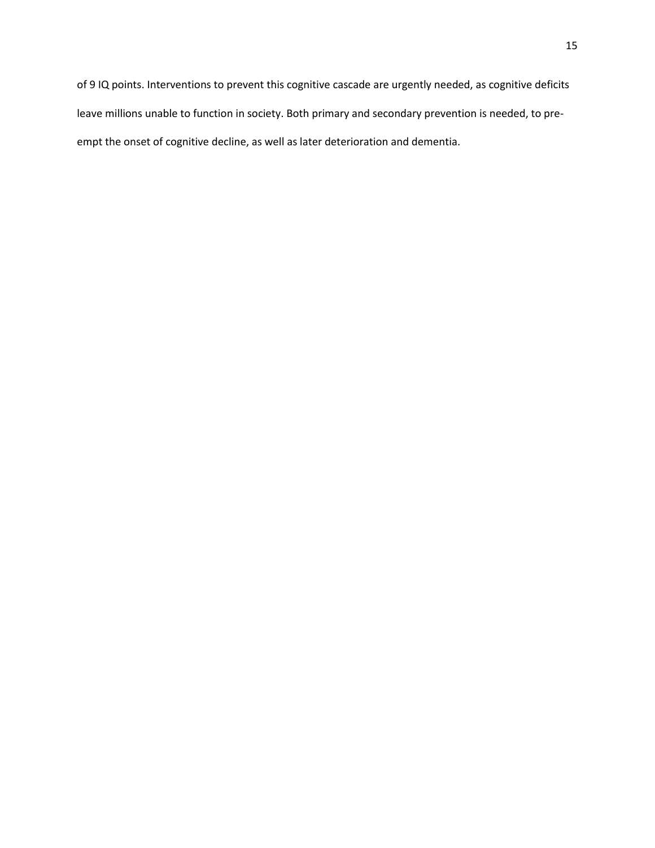of 9 IQ points. Interventions to prevent this cognitive cascade are urgently needed, as cognitive deficits leave millions unable to function in society. Both primary and secondary prevention is needed, to preempt the onset of cognitive decline, as well as later deterioration and dementia.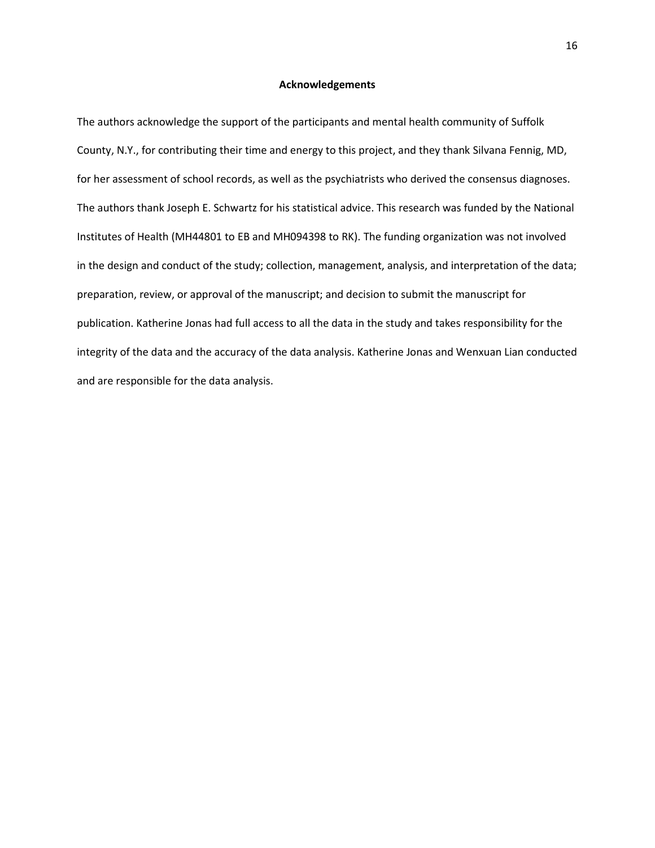#### **Acknowledgements**

The authors acknowledge the support of the participants and mental health community of Suffolk County, N.Y., for contributing their time and energy to this project, and they thank Silvana Fennig, MD, for her assessment of school records, as well as the psychiatrists who derived the consensus diagnoses. The authors thank Joseph E. Schwartz for his statistical advice. This research was funded by the National Institutes of Health (MH44801 to EB and MH094398 to RK). The funding organization was not involved in the design and conduct of the study; collection, management, analysis, and interpretation of the data; preparation, review, or approval of the manuscript; and decision to submit the manuscript for publication. Katherine Jonas had full access to all the data in the study and takes responsibility for the integrity of the data and the accuracy of the data analysis. Katherine Jonas and Wenxuan Lian conducted and are responsible for the data analysis.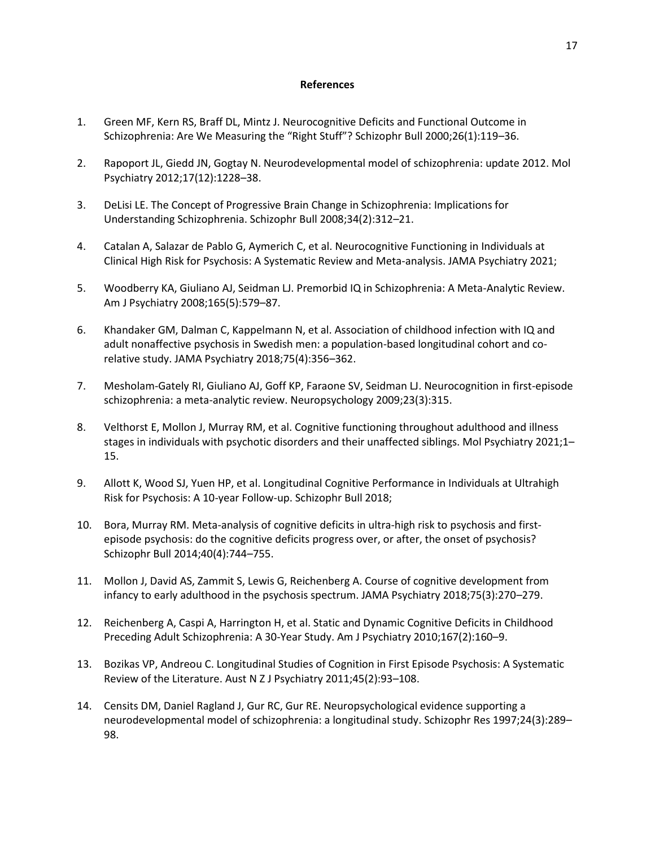## **References**

- 1. Green MF, Kern RS, Braff DL, Mintz J. Neurocognitive Deficits and Functional Outcome in Schizophrenia: Are We Measuring the "Right Stuff"? Schizophr Bull 2000;26(1):119–36.
- 2. Rapoport JL, Giedd JN, Gogtay N. Neurodevelopmental model of schizophrenia: update 2012. Mol Psychiatry 2012;17(12):1228–38.
- 3. DeLisi LE. The Concept of Progressive Brain Change in Schizophrenia: Implications for Understanding Schizophrenia. Schizophr Bull 2008;34(2):312–21.
- 4. Catalan A, Salazar de Pablo G, Aymerich C, et al. Neurocognitive Functioning in Individuals at Clinical High Risk for Psychosis: A Systematic Review and Meta-analysis. JAMA Psychiatry 2021;
- 5. Woodberry KA, Giuliano AJ, Seidman LJ. Premorbid IQ in Schizophrenia: A Meta-Analytic Review. Am J Psychiatry 2008;165(5):579–87.
- 6. Khandaker GM, Dalman C, Kappelmann N, et al. Association of childhood infection with IQ and adult nonaffective psychosis in Swedish men: a population-based longitudinal cohort and corelative study. JAMA Psychiatry 2018;75(4):356–362.
- 7. Mesholam-Gately RI, Giuliano AJ, Goff KP, Faraone SV, Seidman LJ. Neurocognition in first-episode schizophrenia: a meta-analytic review. Neuropsychology 2009;23(3):315.
- 8. Velthorst E, Mollon J, Murray RM, et al. Cognitive functioning throughout adulthood and illness stages in individuals with psychotic disorders and their unaffected siblings. Mol Psychiatry 2021;1– 15.
- 9. Allott K, Wood SJ, Yuen HP, et al. Longitudinal Cognitive Performance in Individuals at Ultrahigh Risk for Psychosis: A 10-year Follow-up. Schizophr Bull 2018;
- 10. Bora, Murray RM. Meta-analysis of cognitive deficits in ultra-high risk to psychosis and firstepisode psychosis: do the cognitive deficits progress over, or after, the onset of psychosis? Schizophr Bull 2014;40(4):744–755.
- 11. Mollon J, David AS, Zammit S, Lewis G, Reichenberg A. Course of cognitive development from infancy to early adulthood in the psychosis spectrum. JAMA Psychiatry 2018;75(3):270–279.
- 12. Reichenberg A, Caspi A, Harrington H, et al. Static and Dynamic Cognitive Deficits in Childhood Preceding Adult Schizophrenia: A 30-Year Study. Am J Psychiatry 2010;167(2):160–9.
- 13. Bozikas VP, Andreou C. Longitudinal Studies of Cognition in First Episode Psychosis: A Systematic Review of the Literature. Aust N Z J Psychiatry 2011;45(2):93–108.
- 14. Censits DM, Daniel Ragland J, Gur RC, Gur RE. Neuropsychological evidence supporting a neurodevelopmental model of schizophrenia: a longitudinal study. Schizophr Res 1997;24(3):289– 98.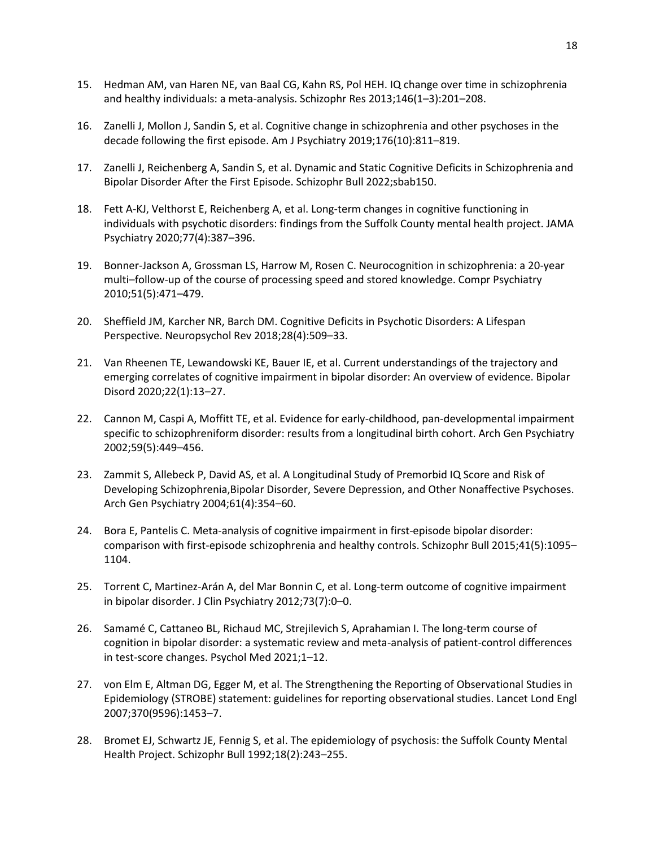- 15. Hedman AM, van Haren NE, van Baal CG, Kahn RS, Pol HEH. IQ change over time in schizophrenia and healthy individuals: a meta-analysis. Schizophr Res 2013;146(1–3):201–208.
- 16. Zanelli J, Mollon J, Sandin S, et al. Cognitive change in schizophrenia and other psychoses in the decade following the first episode. Am J Psychiatry 2019;176(10):811–819.
- 17. Zanelli J, Reichenberg A, Sandin S, et al. Dynamic and Static Cognitive Deficits in Schizophrenia and Bipolar Disorder After the First Episode. Schizophr Bull 2022;sbab150.
- 18. Fett A-KJ, Velthorst E, Reichenberg A, et al. Long-term changes in cognitive functioning in individuals with psychotic disorders: findings from the Suffolk County mental health project. JAMA Psychiatry 2020;77(4):387–396.
- 19. Bonner-Jackson A, Grossman LS, Harrow M, Rosen C. Neurocognition in schizophrenia: a 20-year multi–follow-up of the course of processing speed and stored knowledge. Compr Psychiatry 2010;51(5):471–479.
- 20. Sheffield JM, Karcher NR, Barch DM. Cognitive Deficits in Psychotic Disorders: A Lifespan Perspective. Neuropsychol Rev 2018;28(4):509–33.
- 21. Van Rheenen TE, Lewandowski KE, Bauer IE, et al. Current understandings of the trajectory and emerging correlates of cognitive impairment in bipolar disorder: An overview of evidence. Bipolar Disord 2020;22(1):13–27.
- 22. Cannon M, Caspi A, Moffitt TE, et al. Evidence for early-childhood, pan-developmental impairment specific to schizophreniform disorder: results from a longitudinal birth cohort. Arch Gen Psychiatry 2002;59(5):449–456.
- 23. Zammit S, Allebeck P, David AS, et al. A Longitudinal Study of Premorbid IQ Score and Risk of Developing Schizophrenia,Bipolar Disorder, Severe Depression, and Other Nonaffective Psychoses. Arch Gen Psychiatry 2004;61(4):354–60.
- 24. Bora E, Pantelis C. Meta-analysis of cognitive impairment in first-episode bipolar disorder: comparison with first-episode schizophrenia and healthy controls. Schizophr Bull 2015;41(5):1095– 1104.
- 25. Torrent C, Martinez-Arán A, del Mar Bonnin C, et al. Long-term outcome of cognitive impairment in bipolar disorder. J Clin Psychiatry 2012;73(7):0–0.
- 26. Samamé C, Cattaneo BL, Richaud MC, Strejilevich S, Aprahamian I. The long-term course of cognition in bipolar disorder: a systematic review and meta-analysis of patient-control differences in test-score changes. Psychol Med 2021;1–12.
- 27. von Elm E, Altman DG, Egger M, et al. The Strengthening the Reporting of Observational Studies in Epidemiology (STROBE) statement: guidelines for reporting observational studies. Lancet Lond Engl 2007;370(9596):1453–7.
- 28. Bromet EJ, Schwartz JE, Fennig S, et al. The epidemiology of psychosis: the Suffolk County Mental Health Project. Schizophr Bull 1992;18(2):243–255.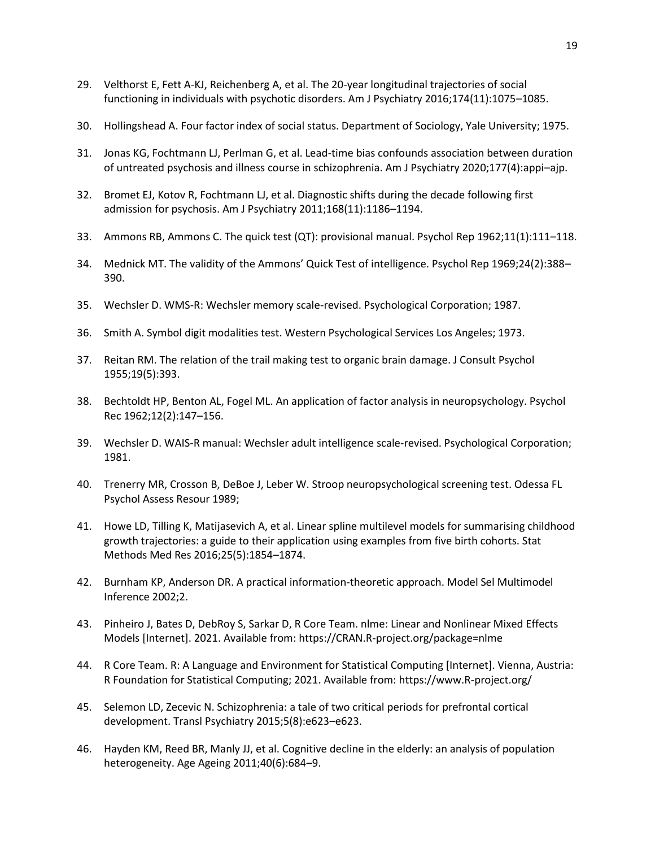- 29. Velthorst E, Fett A-KJ, Reichenberg A, et al. The 20-year longitudinal trajectories of social functioning in individuals with psychotic disorders. Am J Psychiatry 2016;174(11):1075–1085.
- 30. Hollingshead A. Four factor index of social status. Department of Sociology, Yale University; 1975.
- 31. Jonas KG, Fochtmann LJ, Perlman G, et al. Lead-time bias confounds association between duration of untreated psychosis and illness course in schizophrenia. Am J Psychiatry 2020;177(4):appi–ajp.
- 32. Bromet EJ, Kotov R, Fochtmann LJ, et al. Diagnostic shifts during the decade following first admission for psychosis. Am J Psychiatry 2011;168(11):1186–1194.
- 33. Ammons RB, Ammons C. The quick test (QT): provisional manual. Psychol Rep 1962;11(1):111–118.
- 34. Mednick MT. The validity of the Ammons' Quick Test of intelligence. Psychol Rep 1969;24(2):388– 390.
- 35. Wechsler D. WMS-R: Wechsler memory scale-revised. Psychological Corporation; 1987.
- 36. Smith A. Symbol digit modalities test. Western Psychological Services Los Angeles; 1973.
- 37. Reitan RM. The relation of the trail making test to organic brain damage. J Consult Psychol 1955;19(5):393.
- 38. Bechtoldt HP, Benton AL, Fogel ML. An application of factor analysis in neuropsychology. Psychol Rec 1962;12(2):147–156.
- 39. Wechsler D. WAIS-R manual: Wechsler adult intelligence scale-revised. Psychological Corporation; 1981.
- 40. Trenerry MR, Crosson B, DeBoe J, Leber W. Stroop neuropsychological screening test. Odessa FL Psychol Assess Resour 1989;
- 41. Howe LD, Tilling K, Matijasevich A, et al. Linear spline multilevel models for summarising childhood growth trajectories: a guide to their application using examples from five birth cohorts. Stat Methods Med Res 2016;25(5):1854–1874.
- 42. Burnham KP, Anderson DR. A practical information-theoretic approach. Model Sel Multimodel Inference 2002;2.
- 43. Pinheiro J, Bates D, DebRoy S, Sarkar D, R Core Team. nlme: Linear and Nonlinear Mixed Effects Models [Internet]. 2021. Available from: https://CRAN.R-project.org/package=nlme
- 44. R Core Team. R: A Language and Environment for Statistical Computing [Internet]. Vienna, Austria: R Foundation for Statistical Computing; 2021. Available from: https://www.R-project.org/
- 45. Selemon LD, Zecevic N. Schizophrenia: a tale of two critical periods for prefrontal cortical development. Transl Psychiatry 2015;5(8):e623–e623.
- 46. Hayden KM, Reed BR, Manly JJ, et al. Cognitive decline in the elderly: an analysis of population heterogeneity. Age Ageing 2011;40(6):684–9.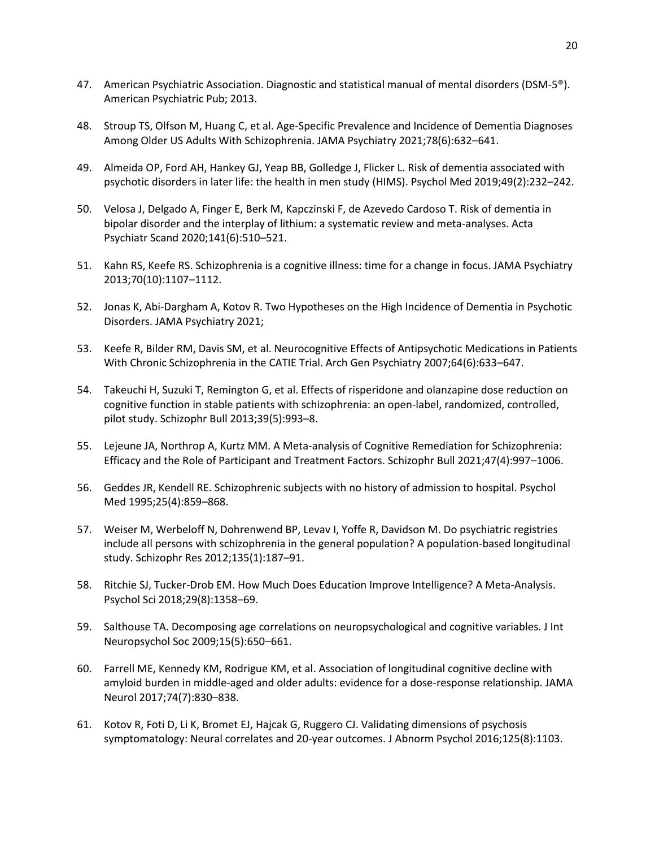- 47. American Psychiatric Association. Diagnostic and statistical manual of mental disorders (DSM-5®). American Psychiatric Pub; 2013.
- 48. Stroup TS, Olfson M, Huang C, et al. Age-Specific Prevalence and Incidence of Dementia Diagnoses Among Older US Adults With Schizophrenia. JAMA Psychiatry 2021;78(6):632–641.
- 49. Almeida OP, Ford AH, Hankey GJ, Yeap BB, Golledge J, Flicker L. Risk of dementia associated with psychotic disorders in later life: the health in men study (HIMS). Psychol Med 2019;49(2):232–242.
- 50. Velosa J, Delgado A, Finger E, Berk M, Kapczinski F, de Azevedo Cardoso T. Risk of dementia in bipolar disorder and the interplay of lithium: a systematic review and meta-analyses. Acta Psychiatr Scand 2020;141(6):510–521.
- 51. Kahn RS, Keefe RS. Schizophrenia is a cognitive illness: time for a change in focus. JAMA Psychiatry 2013;70(10):1107–1112.
- 52. Jonas K, Abi-Dargham A, Kotov R. Two Hypotheses on the High Incidence of Dementia in Psychotic Disorders. JAMA Psychiatry 2021;
- 53. Keefe R, Bilder RM, Davis SM, et al. Neurocognitive Effects of Antipsychotic Medications in Patients With Chronic Schizophrenia in the CATIE Trial. Arch Gen Psychiatry 2007;64(6):633–647.
- 54. Takeuchi H, Suzuki T, Remington G, et al. Effects of risperidone and olanzapine dose reduction on cognitive function in stable patients with schizophrenia: an open-label, randomized, controlled, pilot study. Schizophr Bull 2013;39(5):993–8.
- 55. Lejeune JA, Northrop A, Kurtz MM. A Meta-analysis of Cognitive Remediation for Schizophrenia: Efficacy and the Role of Participant and Treatment Factors. Schizophr Bull 2021;47(4):997–1006.
- 56. Geddes JR, Kendell RE. Schizophrenic subjects with no history of admission to hospital. Psychol Med 1995;25(4):859–868.
- 57. Weiser M, Werbeloff N, Dohrenwend BP, Levav I, Yoffe R, Davidson M. Do psychiatric registries include all persons with schizophrenia in the general population? A population-based longitudinal study. Schizophr Res 2012;135(1):187–91.
- 58. Ritchie SJ, Tucker-Drob EM. How Much Does Education Improve Intelligence? A Meta-Analysis. Psychol Sci 2018;29(8):1358–69.
- 59. Salthouse TA. Decomposing age correlations on neuropsychological and cognitive variables. J Int Neuropsychol Soc 2009;15(5):650–661.
- 60. Farrell ME, Kennedy KM, Rodrigue KM, et al. Association of longitudinal cognitive decline with amyloid burden in middle-aged and older adults: evidence for a dose-response relationship. JAMA Neurol 2017;74(7):830–838.
- 61. Kotov R, Foti D, Li K, Bromet EJ, Hajcak G, Ruggero CJ. Validating dimensions of psychosis symptomatology: Neural correlates and 20-year outcomes. J Abnorm Psychol 2016;125(8):1103.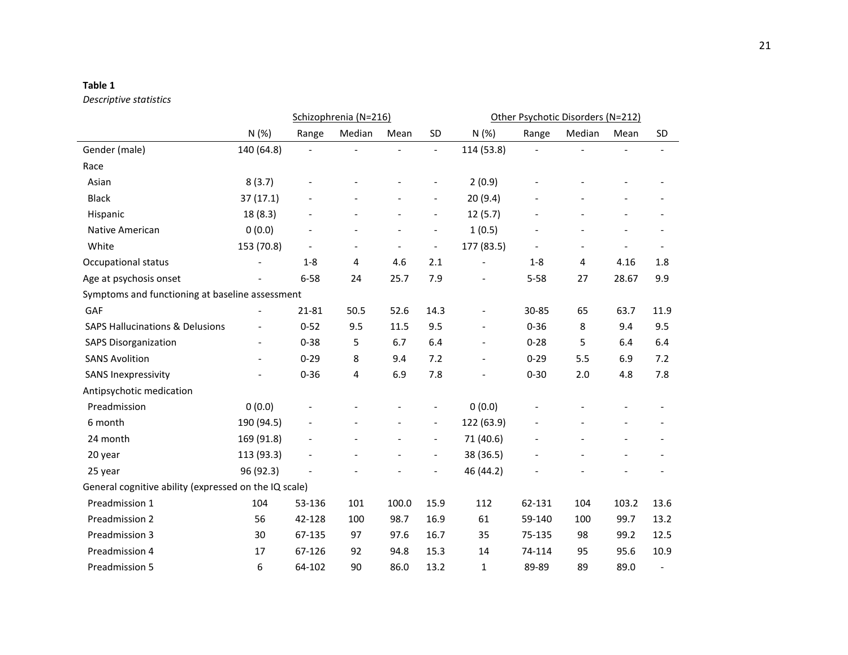## **Table 1**

# *Descriptive statistics*

|                                                       |                          | Schizophrenia (N=216) |        |                          |                          | Other Psychotic Disorders (N=212) |                |        |                          |                              |
|-------------------------------------------------------|--------------------------|-----------------------|--------|--------------------------|--------------------------|-----------------------------------|----------------|--------|--------------------------|------------------------------|
|                                                       | N(%)                     | Range                 | Median | Mean                     | SD                       | N(%)                              | Range          | Median | Mean                     | <b>SD</b>                    |
| Gender (male)                                         | 140 (64.8)               |                       |        |                          | $\overline{\phantom{a}}$ | 114 (53.8)                        |                |        |                          | $\overline{\phantom{a}}$     |
| Race                                                  |                          |                       |        |                          |                          |                                   |                |        |                          |                              |
| Asian                                                 | 8(3.7)                   |                       |        |                          | $\overline{\phantom{a}}$ | 2(0.9)                            |                |        |                          |                              |
| <b>Black</b>                                          | 37(17.1)                 |                       |        |                          |                          | 20(9.4)                           |                |        |                          |                              |
| Hispanic                                              | 18 (8.3)                 |                       |        |                          | $\overline{\phantom{a}}$ | 12(5.7)                           |                |        |                          |                              |
| Native American                                       | 0(0.0)                   |                       |        | $\overline{\phantom{a}}$ | $\overline{\phantom{a}}$ | 1(0.5)                            |                |        |                          |                              |
| White                                                 | 153 (70.8)               |                       |        | $\overline{\phantom{a}}$ | $\overline{\phantom{a}}$ | 177 (83.5)                        | $\overline{a}$ |        |                          |                              |
| Occupational status                                   |                          | $1 - 8$               | 4      | 4.6                      | 2.1                      | $\frac{1}{2}$                     | $1-8$          | 4      | 4.16                     | 1.8                          |
| Age at psychosis onset                                |                          | $6 - 58$              | 24     | 25.7                     | 7.9                      |                                   | $5 - 58$       | 27     | 28.67                    | 9.9                          |
| Symptoms and functioning at baseline assessment       |                          |                       |        |                          |                          |                                   |                |        |                          |                              |
| GAF                                                   |                          | 21-81                 | 50.5   | 52.6                     | 14.3                     | $\overline{\phantom{a}}$          | 30-85          | 65     | 63.7                     | 11.9                         |
| <b>SAPS Hallucinations &amp; Delusions</b>            |                          | $0 - 52$              | 9.5    | 11.5                     | 9.5                      | $\overline{\phantom{a}}$          | $0 - 36$       | 8      | 9.4                      | 9.5                          |
| <b>SAPS Disorganization</b>                           | $\overline{\phantom{a}}$ | $0 - 38$              | 5      | 6.7                      | 6.4                      | $\overline{\phantom{a}}$          | $0 - 28$       | 5      | 6.4                      | 6.4                          |
| <b>SANS Avolition</b>                                 | $\overline{a}$           | $0 - 29$              | 8      | 9.4                      | 7.2                      | $\overline{\phantom{a}}$          | $0 - 29$       | 5.5    | 6.9                      | 7.2                          |
| <b>SANS Inexpressivity</b>                            |                          | $0 - 36$              | 4      | 6.9                      | 7.8                      | $\overline{\phantom{a}}$          | $0 - 30$       | 2.0    | 4.8                      | 7.8                          |
| Antipsychotic medication                              |                          |                       |        |                          |                          |                                   |                |        |                          |                              |
| Preadmission                                          | 0(0.0)                   |                       |        |                          | $\overline{\phantom{a}}$ | 0(0.0)                            |                |        |                          |                              |
| 6 month                                               | 190 (94.5)               |                       |        | $\overline{\phantom{a}}$ | $\overline{\phantom{a}}$ | 122 (63.9)                        |                |        | $\overline{\phantom{0}}$ | $\qquad \qquad \blacksquare$ |
| 24 month                                              | 169 (91.8)               |                       |        |                          | $\overline{\phantom{a}}$ | 71 (40.6)                         |                |        |                          |                              |
| 20 year                                               | 113 (93.3)               |                       |        |                          | $\overline{\phantom{a}}$ | 38 (36.5)                         |                |        |                          | $\qquad \qquad \blacksquare$ |
| 25 year                                               | 96 (92.3)                |                       |        |                          |                          | 46 (44.2)                         |                |        |                          |                              |
| General cognitive ability (expressed on the IQ scale) |                          |                       |        |                          |                          |                                   |                |        |                          |                              |
| Preadmission 1                                        | 104                      | 53-136                | 101    | 100.0                    | 15.9                     | 112                               | 62-131         | 104    | 103.2                    | 13.6                         |
| Preadmission 2                                        | 56                       | 42-128                | 100    | 98.7                     | 16.9                     | 61                                | 59-140         | 100    | 99.7                     | 13.2                         |
| Preadmission 3                                        | 30                       | 67-135                | 97     | 97.6                     | 16.7                     | 35                                | 75-135         | 98     | 99.2                     | 12.5                         |
| Preadmission 4                                        | 17                       | 67-126                | 92     | 94.8                     | 15.3                     | 14                                | 74-114         | 95     | 95.6                     | 10.9                         |
| Preadmission 5                                        | 6                        | 64-102                | 90     | 86.0                     | 13.2                     | $\mathbf{1}$                      | 89-89          | 89     | 89.0                     | $\overline{\phantom{0}}$     |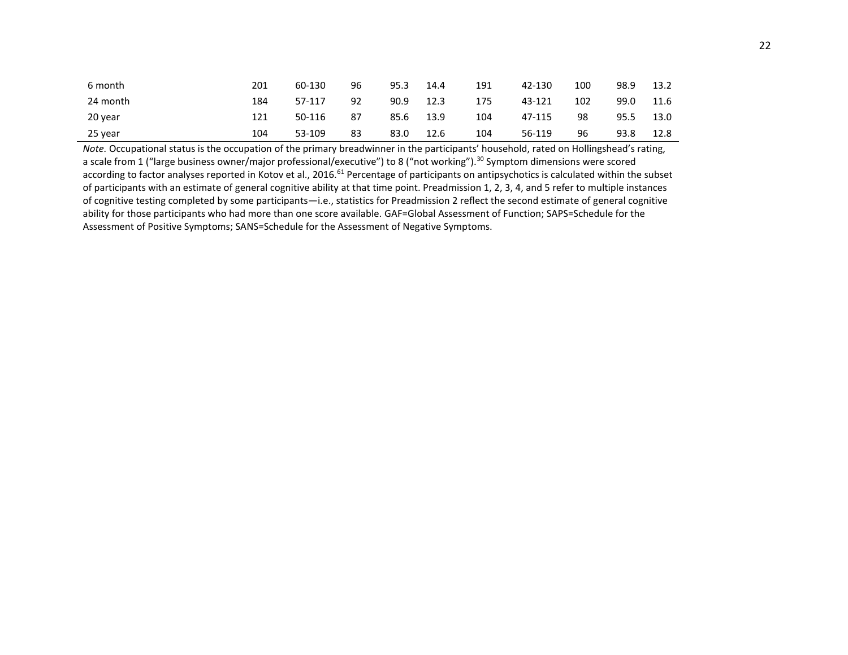| 6 month  | 201 | 60-130 | 96 | 95.3 | 14.4 | 191 | 42-130 | 100 | 98.9 | 13.2 |
|----------|-----|--------|----|------|------|-----|--------|-----|------|------|
| 24 month | 184 | 57-117 | 92 | 90.9 | 12.3 | 175 | 43-121 | 102 | 99.0 | 11.6 |
| 20 year  | 121 | 50-116 | 87 | 85.6 | 13.9 | 104 | 47-115 | 98  | 95.5 | 13.0 |
| 25 year  | 104 | 53-109 | 83 | 83.0 | 12.6 | 104 | 56-119 | 96  | 93.8 | 12.8 |

*Note.* Occupational status is the occupation of the primary breadwinner in the participants' household, rated on Hollingshead's rating, a scale from 1 ("large business owner/major professional/executive") to 8 ("not working").<sup>30</sup> Symptom dimensions were scored according to factor analyses reported in Kotov et al., 2016.<sup>61</sup> Percentage of participants on antipsychotics is calculated within the subset of participants with an estimate of general cognitive ability at that time point. Preadmission 1, 2, 3, 4, and 5 refer to multiple instances of cognitive testing completed by some participants—i.e., statistics for Preadmission 2 reflect the second estimate of general cognitive ability for those participants who had more than one score available. GAF=Global Assessment of Function; SAPS=Schedule for the Assessment of Positive Symptoms; SANS=Schedule for the Assessment of Negative Symptoms.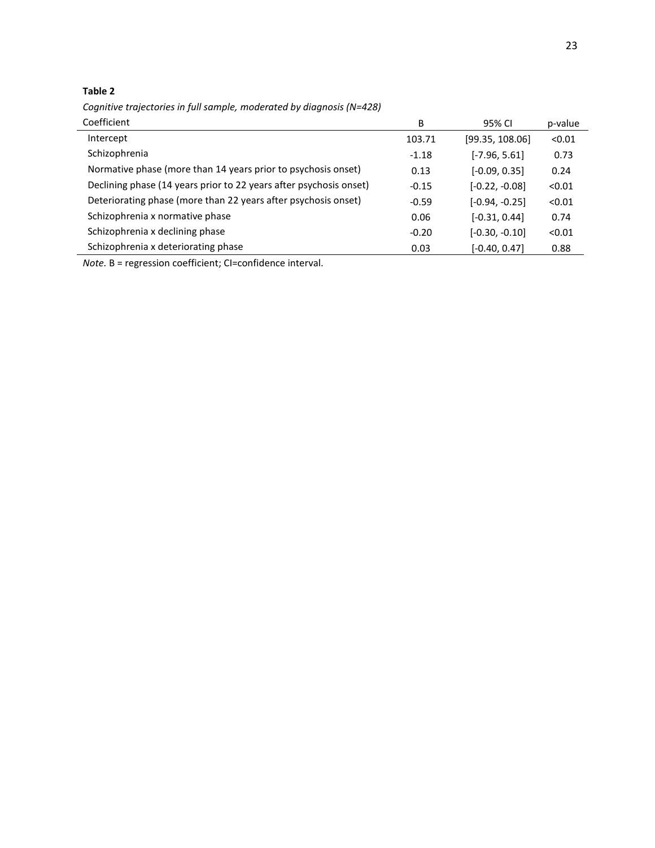# **Table 2**

*Cognitive trajectories in full sample, moderated by diagnosis (N=428)*

| Coefficient                                                        | B       | 95% CI           | p-value |
|--------------------------------------------------------------------|---------|------------------|---------|
| Intercept                                                          | 103.71  | [99.35, 108.06]  | < 0.01  |
| Schizophrenia                                                      | $-1.18$ | $[-7.96, 5.61]$  | 0.73    |
| Normative phase (more than 14 years prior to psychosis onset)      | 0.13    | $[-0.09, 0.35]$  | 0.24    |
| Declining phase (14 years prior to 22 years after psychosis onset) | $-0.15$ | $[-0.22, -0.08]$ | < 0.01  |
| Deteriorating phase (more than 22 years after psychosis onset)     | $-0.59$ | $[-0.94, -0.25]$ | < 0.01  |
| Schizophrenia x normative phase                                    | 0.06    | $[-0.31, 0.44]$  | 0.74    |
| Schizophrenia x declining phase                                    | $-0.20$ | $[-0.30, -0.10]$ | < 0.01  |
| Schizophrenia x deteriorating phase                                | 0.03    | $[-0.40, 0.47]$  | 0.88    |

*Note.* B = regression coefficient; CI=confidence interval.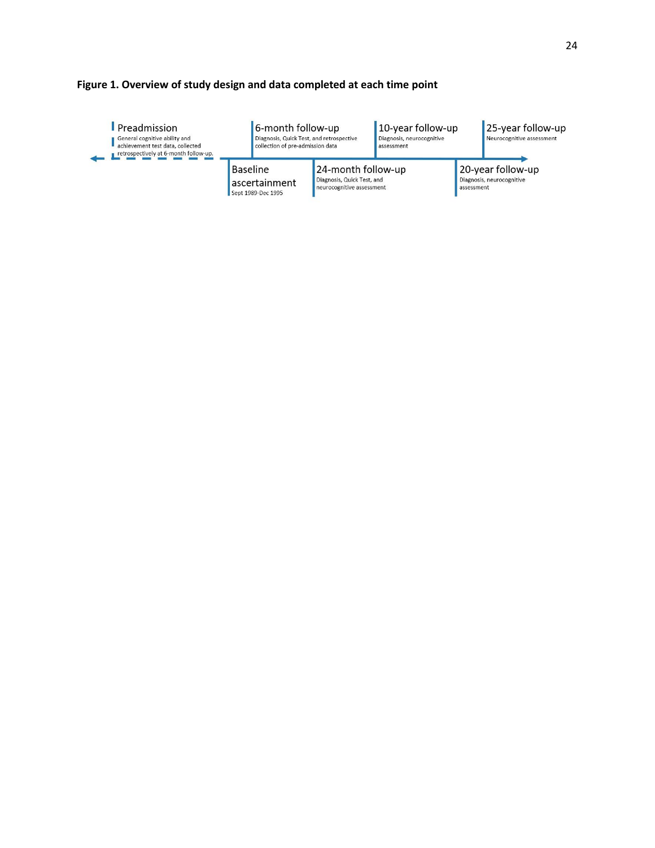# **Figure 1. Overview of study design and data completed at each time point**

| <b>Preadmission</b><br>General cognitive ability and<br>achievement test data, collected<br>retrospectively at 6-month follow-up. | 6-month follow-up<br>Diagnosis, Quick Test, and retrospective<br>collection of pre-admission data |                                                                               | 10-year follow-up<br>Diagnosis, neurocognitive<br>assessment |                                                              | 25-year follow-up<br>Neurocognitive assessment |  |
|-----------------------------------------------------------------------------------------------------------------------------------|---------------------------------------------------------------------------------------------------|-------------------------------------------------------------------------------|--------------------------------------------------------------|--------------------------------------------------------------|------------------------------------------------|--|
|                                                                                                                                   | Baseline<br>ascertainment<br>Sept 1989-Dec 1995                                                   | 24-month follow-up<br>Diagnosis, Quick Test, and<br>neurocognitive assessment |                                                              | 20-year follow-up<br>Diagnosis, neurocognitive<br>assessment |                                                |  |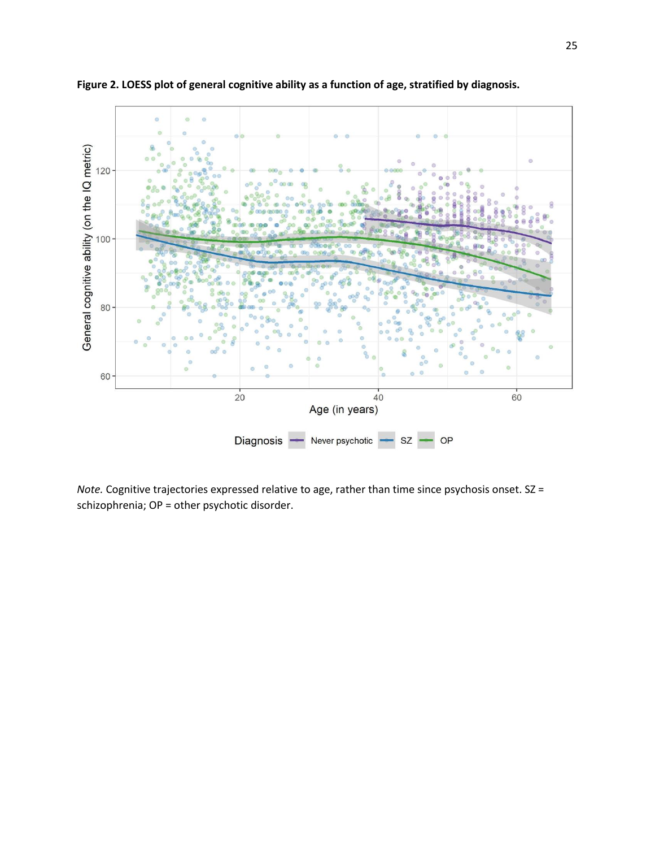

**Figure 2. LOESS plot of general cognitive ability as a function of age, stratified by diagnosis.**

*Note.* Cognitive trajectories expressed relative to age, rather than time since psychosis onset. SZ = schizophrenia; OP = other psychotic disorder.